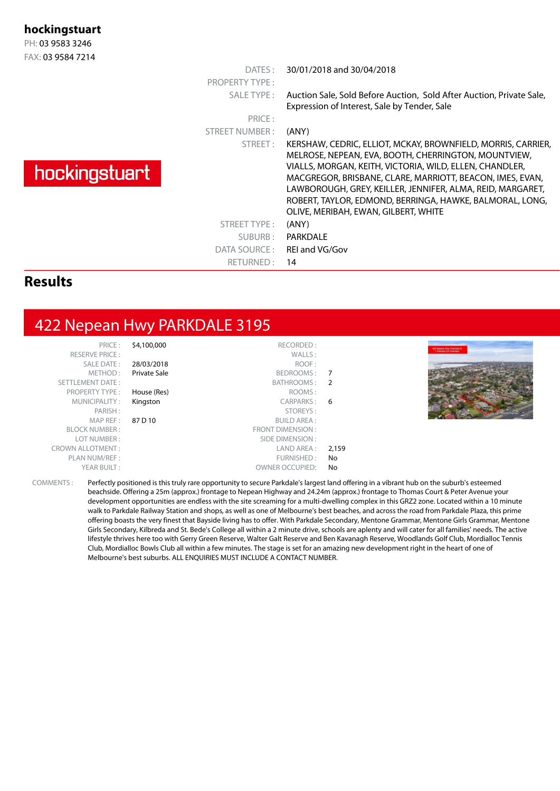#### **hockingstuart**

PH: 03 9583 3246 FAX: 03 9584 7214

|               | DATES:<br><b>PROPERTY TYPE:</b><br>SALE TYPE:<br>PRICE: | 30/01/2018 and 30/04/2018<br>Auction Sale, Sold Before Auction, Sold After Auction, Private Sale,<br>Expression of Interest, Sale by Tender, Sale                                                                                                                                                                                                                                                                       |
|---------------|---------------------------------------------------------|-------------------------------------------------------------------------------------------------------------------------------------------------------------------------------------------------------------------------------------------------------------------------------------------------------------------------------------------------------------------------------------------------------------------------|
| hockingstuart | STREET NUMBER:<br>STREET:                               | (ANY)<br>KERSHAW, CEDRIC, ELLIOT, MCKAY, BROWNFIELD, MORRIS, CARRIER,<br>MELROSE, NEPEAN, EVA, BOOTH, CHERRINGTON, MOUNTVIEW,<br>VIALLS, MORGAN, KEITH, VICTORIA, WILD, ELLEN, CHANDLER,<br>MACGREGOR, BRISBANE, CLARE, MARRIOTT, BEACON, IMES, EVAN,<br>LAWBOROUGH, GREY, KEILLER, JENNIFER, ALMA, REID, MARGARET,<br>ROBERT, TAYLOR, EDMOND, BERRINGA, HAWKE, BALMORAL, LONG,<br>OLIVE, MERIBAH, EWAN, GILBERT, WHITE |
|               | STREET TYPE:<br>SUBURB:<br>DATA SOURCE :<br>RETURNED:   | (ANY)<br>PARKDALE<br>REI and VG/Gov<br>14                                                                                                                                                                                                                                                                                                                                                                               |
| п.            |                                                         |                                                                                                                                                                                                                                                                                                                                                                                                                         |

#### **Results**

# 422 Nepean Hwy PARKDALE 3195

| PRICE:                  | \$4,100,000  | RECORDED:               |       |                                                           |
|-------------------------|--------------|-------------------------|-------|-----------------------------------------------------------|
| RESERVE PRICE:          |              | WALLS:                  |       | <b>ATT TAGAIN FOR PARTIES</b><br><b>Thomas CA Purbons</b> |
| SALE DATE:              | 28/03/2018   | ROOF:                   |       |                                                           |
| METHOD:                 | Private Sale | BEDROOMS: 7             |       |                                                           |
| SETTLEMENT DATE:        |              | BATHROOMS: 2            |       |                                                           |
| <b>PROPERTY TYPE:</b>   | House (Res)  | ROOMS:                  |       |                                                           |
| MUNICIPALITY:           | Kingston     | CARPARKS: 6             |       |                                                           |
| PARISH:                 |              | STOREYS:                |       |                                                           |
| MAP REF :               | 87 D 10      | <b>BUILD AREA:</b>      |       |                                                           |
| <b>BLOCK NUMBER:</b>    |              | <b>FRONT DIMENSION:</b> |       |                                                           |
| LOT NUMBER:             |              | SIDE DIMENSION :        |       |                                                           |
| <b>CROWN ALLOTMENT:</b> |              | LAND AREA :             | 2,159 |                                                           |
| PLAN NUM/REF :          |              | FURNISHED:              | No.   |                                                           |
| YEAR BUILT:             |              | <b>OWNER OCCUPIED:</b>  | No    |                                                           |

COMMENTS : Perfectly positioned is this truly rare opportunity to secure Parkdale's largest land offering in a vibrant hub on the suburb's esteemed beachside. Offering a 25m (approx.) frontage to Nepean Highway and 24.24m (approx.) frontage to Thomas Court & Peter Avenue your development opportunities are endless with the site screaming for a multi-dwelling complex in this GRZ2 zone. Located within a 10 minute walk to Parkdale Railway Station and shops, as well as one of Melbourne's best beaches, and across the road from Parkdale Plaza, this prime offering boasts the very finest that Bayside living has to offer. With Parkdale Secondary, Mentone Grammar, Mentone Girls Grammar, Mentone Girls Secondary, Kilbreda and St. Bede's College all within a 2 minute drive, schools are aplenty and will cater for all families' needs. The active lifestyle thrives here too with Gerry Green Reserve, Walter Galt Reserve and Ben Kavanagh Reserve, Woodlands Golf Club, Mordialloc Tennis Club, Mordialloc Bowls Club all within a few minutes. The stage is set for an amazing new development right in the heart of one of Melbourne's best suburbs. ALL ENQUIRIES MUST INCLUDE A CONTACT NUMBER.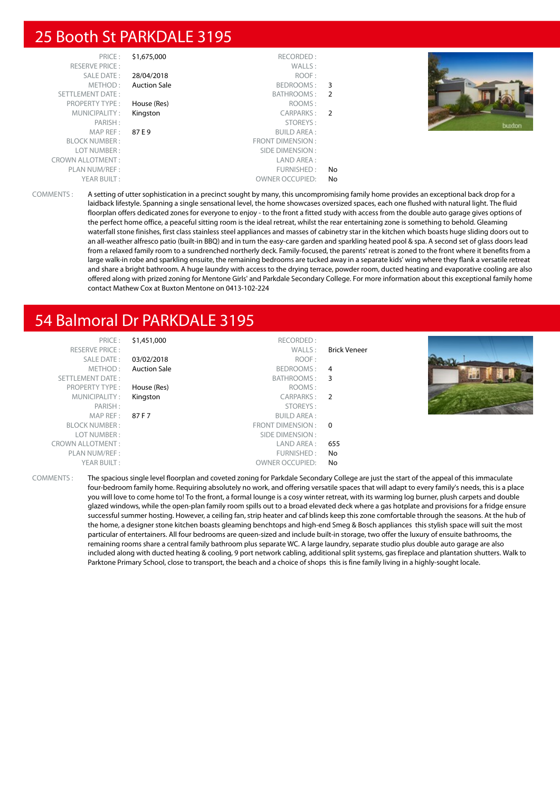## 25 Booth St PARKDALE 3195

| PRICE:                  | \$1,675,000         | RECORDED:               |                |  |
|-------------------------|---------------------|-------------------------|----------------|--|
| <b>RESERVE PRICE:</b>   |                     | WALLS:                  |                |  |
| <b>SALE DATE:</b>       | 28/04/2018          | ROOF:                   |                |  |
| METHOD:                 | <b>Auction Sale</b> | BEDROOMS:               | 3              |  |
| <b>SETTLEMENT DATE:</b> |                     | BATHROOMS:              | -2             |  |
| <b>PROPERTY TYPE:</b>   | House (Res)         | ROOMS:                  |                |  |
| MUNICIPALITY:           | Kingston            | CARPARKS:               | $\overline{2}$ |  |
| PARISH:                 |                     | STOREYS:                |                |  |
| MAP REF:                | 87 E 9              | <b>BUILD AREA:</b>      |                |  |
| <b>BLOCK NUMBER:</b>    |                     | <b>FRONT DIMENSION:</b> |                |  |
| LOT NUMBER:             |                     | SIDE DIMENSION:         |                |  |
| <b>CROWN ALLOTMENT:</b> |                     | LAND AREA:              |                |  |
| PLAN NUM/REF:           |                     | FURNISHED:              | No             |  |
| YEAR BUILT:             |                     | <b>OWNER OCCUPIED:</b>  | No             |  |



COMMENTS : A setting of utter sophistication in a precinct sought by many, this uncompromising family home provides an exceptional back drop for a laidback lifestyle. Spanning a single sensational level, the home showcases oversized spaces, each one flushed with natural light. The fluid floorplan offers dedicated zones for everyone to enjoy - to the front a fitted study with access from the double auto garage gives options of the perfect home office, a peaceful sitting room is the ideal retreat, whilst the rear entertaining zone is something to behold. Gleaming waterfall stone finishes, first class stainless steel appliances and masses of cabinetry star in the kitchen which boasts huge sliding doors out to an all-weather alfresco patio (built-in BBQ) and in turn the easy-care garden and sparkling heated pool & spa. A second set of glass doors lead from a relaxed family room to a sundrenched northerly deck. Family-focused, the parents' retreat is zoned to the front where it benefits from a large walk-in robe and sparkling ensuite, the remaining bedrooms are tucked away in a separate kids' wing where they flank a versatile retreat and share a bright bathroom. A huge laundry with access to the drying terrace, powder room, ducted heating and evaporative cooling are also offered along with prized zoning for Mentone Girls' and Parkdale Secondary College. For more information about this exceptional family home contact Mathew Cox at Buxton Mentone on 0413-102-224

# 54 Balmoral Dr PARKDALE 3195

| PRICE:                  | \$1,451,000         | RECORDED:              |                     |  |
|-------------------------|---------------------|------------------------|---------------------|--|
| <b>RESERVE PRICE:</b>   |                     | WALLS:                 | <b>Brick Veneer</b> |  |
| <b>SALE DATE:</b>       | 03/02/2018          | ROOF:                  |                     |  |
| METHOD:                 | <b>Auction Sale</b> | BEDROOMS: 4            |                     |  |
| <b>SETTLEMENT DATE:</b> |                     | BATHROOMS:             | 3                   |  |
| <b>PROPERTY TYPE:</b>   | House (Res)         | ROOMS:                 |                     |  |
| MUNICIPALITY:           | Kingston            | CARPARKS: 2            |                     |  |
| PARISH:                 |                     | STOREYS:               |                     |  |
| MAP REF :               | 87 F 7              | <b>BUILD AREA:</b>     |                     |  |
| <b>BLOCK NUMBER:</b>    |                     | FRONT DIMENSION : 0    |                     |  |
| LOT NUMBER:             |                     | SIDE DIMENSION :       |                     |  |
| <b>CROWN ALLOTMENT:</b> |                     | LAND AREA :            | 655                 |  |
| PLAN NUM/REF :          |                     | FURNISHED:             | No                  |  |
| YEAR BUILT:             |                     | <b>OWNER OCCUPIED:</b> | No                  |  |

COMMENTS : The spacious single level floorplan and coveted zoning for Parkdale Secondary College are just the start of the appeal of this immaculate four-bedroom family home. Requiring absolutely no work, and offering versatile spaces that will adapt to every family's needs, this is a place you will love to come home to! To the front, a formal lounge is a cosy winter retreat, with its warming log burner, plush carpets and double glazed windows, while the open-plan family room spills out to a broad elevated deck where a gas hotplate and provisions for a fridge ensure successful summer hosting. However, a ceiling fan, strip heater and caf blinds keep this zone comfortable through the seasons. At the hub of the home, a designer stone kitchen boasts gleaming benchtops and high-end Smeg & Bosch appliances this stylish space will suit the most particular of entertainers. All four bedrooms are queen-sized and include built-in storage, two offer the luxury of ensuite bathrooms, the remaining rooms share a central family bathroom plus separate WC. A large laundry, separate studio plus double auto garage are also included along with ducted heating & cooling, 9 port network cabling, additional split systems, gas fireplace and plantation shutters. Walk to Parktone Primary School, close to transport, the beach and a choice of shops this is fine family living in a highly-sought locale.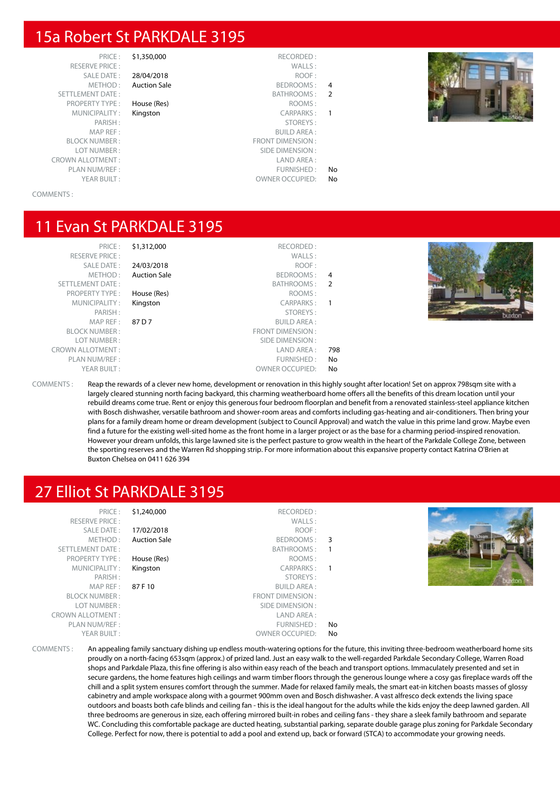## 15a Robert St PARKDALE 3195

RESERVE PRICE : SETTLEMENT DATE: PROPERTY TYPE : House (Res) MUNICIPALITY : Kingston MAP REF : BLOCK NUMBER : LOT NUMBER: CROWN ALLOTMENT: PLAN NUM/REF : YEAR BUILT :  $OWNER$  OWNER OCCUPIED: No

# SALE DATE : 28/04/2018 METHOD: Auction Sale

|    | RECORDED:               | \$1,350,000         | PRICE:          |
|----|-------------------------|---------------------|-----------------|
|    | WALLS:                  |                     | $E$ PRICE :     |
|    | ROOF:                   | 28/04/2018          | $E$ DATE:       |
| 4  | <b>BEDROOMS:</b>        | <b>Auction Sale</b> | ETHOD:          |
| 2  | BATHROOMS:              |                     | T DATE:         |
|    | ROOMS:                  | House (Res)         | Y TYPE:         |
|    | <b>CARPARKS:</b>        | Kingston            | <b>IPALITY:</b> |
|    | STOREYS:                |                     | PARISH:         |
|    | <b>BUILD AREA:</b>      |                     | <b>AP REF:</b>  |
|    | <b>FRONT DIMENSION:</b> |                     | UMBER:          |
|    | SIDE DIMENSION:         |                     | UMBER:          |
|    | LAND AREA:              |                     | TMENT:          |
| No | <b>FURNISHED:</b>       |                     | JM/REF:         |
|    |                         |                     |                 |



#### COMMENTS :

## 11 Evan St PARKDALE 3195

| PRICE:                  |
|-------------------------|
| <b>RESERVE PRICE:</b>   |
| <b>SALE DATE:</b>       |
| METHOD:                 |
| <b>SETTLEMENT DATE:</b> |
| <b>PROPERTY TYPE:</b>   |
| MUNICIPALITY:           |
| PARISH:                 |
| MAP REF:                |
| <b>BLOCK NUMBER:</b>    |
| LOT NUMBER:             |
| OWN ALLOTMENT:          |
| PLAN NUM/REF:           |
| YEAR BUILT:             |
|                         |

| PRICE:                  | \$1,312,000         | RECORDED:               |                |
|-------------------------|---------------------|-------------------------|----------------|
| <b>RESERVE PRICE:</b>   |                     | WALLS:                  |                |
| <b>SALE DATE:</b>       | 24/03/2018          | ROOF:                   |                |
| METHOD:                 | <b>Auction Sale</b> | BEDROOMS:               | 4              |
| <b>SETTLEMENT DATE:</b> |                     | BATHROOMS:              | $\overline{2}$ |
| <b>PROPERTY TYPE:</b>   | House (Res)         | ROOMS:                  |                |
| MUNICIPALITY:           | Kingston            | <b>CARPARKS:</b>        | 1              |
| PARISH:                 |                     | STOREYS:                |                |
| MAP REF:                | 87 D 7              | <b>BUILD AREA:</b>      |                |
| <b>BLOCK NUMBER:</b>    |                     | <b>FRONT DIMENSION:</b> |                |
| LOT NUMBER:             |                     | SIDE DIMENSION:         |                |
| CROWN ALLOTMENT:        |                     | I AND ARFA:             | 798            |
| PLAN NUM/REF:           |                     | FURNISHED:              | No             |
| YEAR BUILT:             |                     | <b>OWNER OCCUPIED:</b>  | No             |



COMMENTS : Reap the rewards of a clever new home, development or renovation in this highly sought after location! Set on approx 798sqm site with a largely cleared stunning north facing backyard, this charming weatherboard home offers all the benefits of this dream location until your rebuild dreams come true. Rent or enjoy this generous four bedroom floorplan and benefit from a renovated stainless-steel appliance kitchen with Bosch dishwasher, versatile bathroom and shower-room areas and comforts including gas-heating and air-conditioners. Then bring your plans for a family dream home or dream development (subject to Council Approval) and watch the value in this prime land grow. Maybe even find a future for the existing well-sited home as the front home in a larger project or as the base for a charming period-inspired renovation. However your dream unfolds, this large lawned site is the perfect pasture to grow wealth in the heart of the Parkdale College Zone, between the sporting reserves and the Warren Rd shopping strip. For more information about this expansive property contact Katrina O'Brien at Buxton Chelsea on 0411 626 394

#### 27 Elliot St PARKDALE 3195

| \$1,240,000<br>PRICE:<br><b>RESERVE PRICE:</b><br>SALE DATE:<br>17/02/2018<br>METHOD:<br><b>Auction Sale</b><br>SETTLEMENT DATE:<br>BATHROOMS:<br><b>PROPERTY TYPE:</b><br>House (Res)<br>MUNICIPALITY:<br>Kingston<br>PARISH:<br>MAP REF :<br><b>BUILD AREA:</b><br>87 F 10<br><b>BLOCK NUMBER:</b><br>FRONT DIMENSION:<br>LOT NUMBER:<br>SIDE DIMENSION :<br><b>CROWN ALLOTMENT:</b><br>LAND AREA :<br>PLAN NUM/REF :<br>FURNISHED:<br>YEAR BUILT:<br><b>OWNER OCCUPIED:</b> | RECORDED:<br>WALLS:<br>ROOF:<br>BEDROOMS: 3<br>ROOMS:<br>CARPARKS:<br>$\overline{1}$<br>STOREYS:<br>No<br>No |
|--------------------------------------------------------------------------------------------------------------------------------------------------------------------------------------------------------------------------------------------------------------------------------------------------------------------------------------------------------------------------------------------------------------------------------------------------------------------------------|--------------------------------------------------------------------------------------------------------------|
|--------------------------------------------------------------------------------------------------------------------------------------------------------------------------------------------------------------------------------------------------------------------------------------------------------------------------------------------------------------------------------------------------------------------------------------------------------------------------------|--------------------------------------------------------------------------------------------------------------|

COMMENTS : An appealing family sanctuary dishing up endless mouth-watering options for the future, this inviting three-bedroom weatherboard home sits proudly on a north-facing 653sqm (approx.) of prized land. Just an easy walk to the well-regarded Parkdale Secondary College, Warren Road shops and Parkdale Plaza, this fine offering is also within easy reach of the beach and transport options. Immaculately presented and set in secure gardens, the home features high ceilings and warm timber floors through the generous lounge where a cosy gas fireplace wards off the chill and a split system ensures comfort through the summer. Made for relaxed family meals, the smart eat-in kitchen boasts masses of glossy cabinetry and ample workspace along with a gourmet 900mm oven and Bosch dishwasher. A vast alfresco deck extends the living space outdoors and boasts both cafe blinds and ceiling fan - this is the ideal hangout for the adults while the kids enjoy the deep lawned garden. All three bedrooms are generous in size, each offering mirrored built-in robes and ceiling fans - they share a sleek family bathroom and separate WC. Concluding this comfortable package are ducted heating, substantial parking, separate double garage plus zoning for Parkdale Secondary College. Perfect for now, there is potential to add a pool and extend up, back or forward (STCA) to accommodate your growing needs.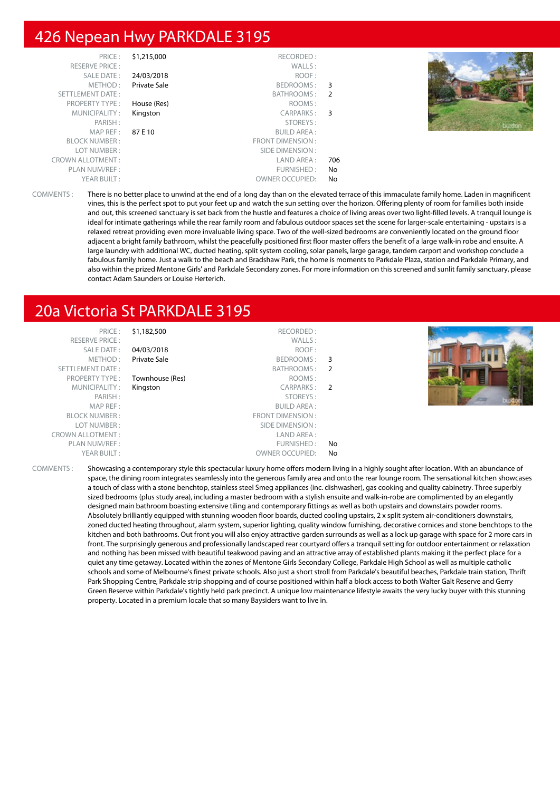# 426 Nepean Hwy PARKDALE 3195

| PRICE:<br><b>RESERVE PRICE:</b> | \$1,215,000  | RECORDED:<br>WALLS:    |     |  |
|---------------------------------|--------------|------------------------|-----|--|
| SALE DATE:                      | 24/03/2018   | ROOF:                  |     |  |
| METHOD:                         | Private Sale | BEDROOMS: 3            |     |  |
| SETTLEMENT DATE:                |              | BATHROOMS: 2           |     |  |
| <b>PROPERTY TYPE:</b>           | House (Res)  | ROOMS:                 |     |  |
| MUNICIPALITY:                   | Kingston     | CARPARKS: 3            |     |  |
| PARISH:                         |              | STOREYS:               |     |  |
| MAPREF:                         | 87 E 10      | <b>BUILD AREA:</b>     |     |  |
| <b>BLOCK NUMBER:</b>            |              | FRONT DIMENSION:       |     |  |
| LOT NUMBER:                     |              | SIDE DIMENSION :       |     |  |
| <b>CROWN ALLOTMENT:</b>         |              | LAND AREA :            | 706 |  |
| PLAN NUM/REF :                  |              | FURNISHED:             | No. |  |
| YEAR BUILT:                     |              | <b>OWNER OCCUPIED:</b> | No  |  |

COMMENTS : There is no better place to unwind at the end of a long day than on the elevated terrace of this immaculate family home. Laden in magnificent vines, this is the perfect spot to put your feet up and watch the sun setting over the horizon. Offering plenty of room for families both inside and out, this screened sanctuary is set back from the hustle and features a choice of living areas over two light-filled levels. A tranquil lounge is ideal for intimate gatherings while the rear family room and fabulous outdoor spaces set the scene for larger-scale entertaining - upstairs is a relaxed retreat providing even more invaluable living space. Two of the well-sized bedrooms are conveniently located on the ground floor adjacent a bright family bathroom, whilst the peacefully positioned first floor master offers the benefit of a large walk-in robe and ensuite. A large laundry with additional WC, ducted heating, split system cooling, solar panels, large garage, tandem carport and workshop conclude a fabulous family home. Just a walk to the beach and Bradshaw Park, the home is moments to Parkdale Plaza, station and Parkdale Primary, and also within the prized Mentone Girls' and Parkdale Secondary zones. For more information on this screened and sunlit family sanctuary, please contact Adam Saunders or Louise Herterich.

# 20a Victoria St PARKDALE 3195

| PRICE:                  | \$1,182,500     | RECORDED:              |                |  |
|-------------------------|-----------------|------------------------|----------------|--|
| <b>RESERVE PRICE:</b>   |                 | WALLS:                 |                |  |
| <b>SALE DATE:</b>       | 04/03/2018      | ROOF:                  |                |  |
| METHOD:                 | Private Sale    | BEDROOMS:              | - 3            |  |
| SETTLEMENT DATE:        |                 | BATHROOMS:             | $\overline{2}$ |  |
| <b>PROPERTY TYPE:</b>   | Townhouse (Res) | ROOMS:                 |                |  |
| MUNICIPALITY:           | Kingston        | CARPARKS:              | $\overline{2}$ |  |
| PARISH:                 |                 | STOREYS:               |                |  |
| MAP REF:                |                 | <b>BUILD AREA:</b>     |                |  |
| <b>BLOCK NUMBER:</b>    |                 | FRONT DIMENSION:       |                |  |
| LOT NUMBER:             |                 | SIDE DIMENSION :       |                |  |
| <b>CROWN ALLOTMENT:</b> |                 | LAND AREA :            |                |  |
| PLAN NUM/REF :          |                 | FURNISHED:             | No             |  |
| YEAR BUILT:             |                 | <b>OWNER OCCUPIED:</b> | No             |  |
|                         |                 |                        |                |  |

COMMENTS : Showcasing a contemporary style this spectacular luxury home offers modern living in a highly sought after location. With an abundance of space, the dining room integrates seamlessly into the generous family area and onto the rear lounge room. The sensational kitchen showcases a touch of class with a stone benchtop, stainless steel Smeg appliances (inc. dishwasher), gas cooking and quality cabinetry. Three superbly sized bedrooms (plus study area), including a master bedroom with a stylish ensuite and walk-in-robe are complimented by an elegantly designed main bathroom boasting extensive tiling and contemporary fittings as well as both upstairs and downstairs powder rooms. Absolutely brilliantly equipped with stunning wooden floor boards, ducted cooling upstairs, 2 x split system air-conditioners downstairs, zoned ducted heating throughout, alarm system, superior lighting, quality window furnishing, decorative cornices and stone benchtops to the kitchen and both bathrooms. Out front you will also enjoy attractive garden surrounds as well as a lock up garage with space for 2 more cars in front. The surprisingly generous and professionally landscaped rear courtyard offers a tranquil setting for outdoor entertainment or relaxation and nothing has been missed with beautiful teakwood paving and an attractive array of established plants making it the perfect place for a quiet any time getaway. Located within the zones of Mentone Girls Secondary College, Parkdale High School as well as multiple catholic schools and some of Melbourne's finest private schools. Also just a short stroll from Parkdale's beautiful beaches, Parkdale train station, Thrift Park Shopping Centre, Parkdale strip shopping and of course positioned within half a block access to both Walter Galt Reserve and Gerry Green Reserve within Parkdale's tightly held park precinct. A unique low maintenance lifestyle awaits the very lucky buyer with this stunning property. Located in a premium locale that so many Baysiders want to live in.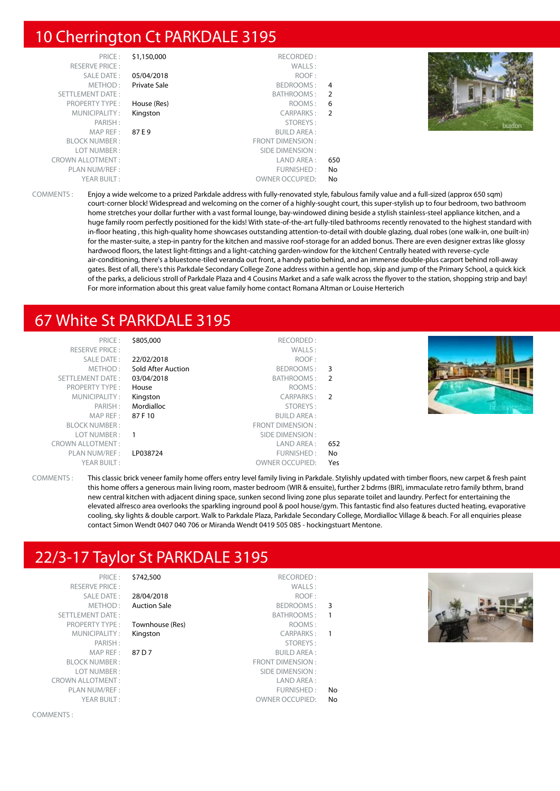# 10 Cherrington Ct PARKDALE 3195

| PRICE:<br><b>RESERVE PRICE:</b><br>SALE DATE:<br>METHOD:<br><b>SETTLEMENT DATE:</b> | \$1,150,000<br>05/04/2018<br>Private Sale | RECORDED:<br>WALLS:<br>ROOF:<br>BEDROOMS: 4<br>BATHROOMS: 2 |           |        |
|-------------------------------------------------------------------------------------|-------------------------------------------|-------------------------------------------------------------|-----------|--------|
| <b>PROPERTY TYPE:</b><br>MUNICIPALITY:                                              | House (Res)<br>Kingston                   | ROOMS :<br>CARPARKS: 2                                      | -6        |        |
| PARISH:<br>MAPREF:<br><b>BLOCK NUMBER:</b>                                          | 87 E 9                                    | STOREYS:<br><b>BUILD AREA:</b><br>FRONT DIMENSION :         |           | buxton |
| LOT NUMBER:<br><b>CROWN ALLOTMENT:</b><br>PLAN NUM/REF:                             |                                           | SIDE DIMENSION:<br>LAND AREA :<br>FURNISHED:                | 650<br>No |        |
| YEAR BUILT:                                                                         |                                           | <b>OWNER OCCUPIED:</b>                                      | No        |        |

COMMENTS : Enjoy a wide welcome to a prized Parkdale address with fully-renovated style, fabulous family value and a full-sized (approx 650 sqm) court-corner block! Widespread and welcoming on the corner of a highly-sought court, this super-stylish up to four bedroom, two bathroom home stretches your dollar further with a vast formal lounge, bay-windowed dining beside a stylish stainless-steel appliance kitchen, and a huge family room perfectly positioned for the kids! With state-of-the-art fully-tiled bathrooms recently renovated to the highest standard with in-floor heating , this high-quality home showcases outstanding attention-to-detail with double glazing, dual robes (one walk-in, one built-in) for the master-suite, a step-in pantry for the kitchen and massive roof-storage for an added bonus. There are even designer extras like glossy hardwood floors, the latest light-fittings and a light-catching garden-window for the kitchen! Centrally heated with reverse-cycle air-conditioning, there's a bluestone-tiled veranda out front, a handy patio behind, and an immense double-plus carport behind roll-away gates. Best of all, there's this Parkdale Secondary College Zone address within a gentle hop, skip and jump of the Primary School, a quick kick of the parks, a delicious stroll of Parkdale Plaza and 4 Cousins Market and a safe walk across the flyover to the station, shopping strip and bay! For more information about this great value family home contact Romana Altman or Louise Herterich

# 67 White St PARKDALE 3195

| PRICE:<br><b>RESERVE PRICE:</b><br>SALE DATE: | \$805,000<br>22/02/2018 | RECORDED:<br>WALLS:<br>ROOF: |                |  |
|-----------------------------------------------|-------------------------|------------------------------|----------------|--|
| METHOD:                                       | Sold After Auction      | BEDROOMS:                    | 3              |  |
| SETTLEMENT DATE:                              | 03/04/2018              | BATHROOMS:                   | 2              |  |
| <b>PROPERTY TYPE:</b>                         | House                   | ROOMS:                       |                |  |
| MUNICIPALITY:                                 | Kingston                | CARPARKS:                    | $\overline{2}$ |  |
| PARISH:                                       | Mordialloc              | STOREYS:                     |                |  |
| MAP REF :                                     | 87 F 10                 | <b>BUILD AREA:</b>           |                |  |
| <b>BLOCK NUMBER:</b>                          |                         | FRONT DIMENSION:             |                |  |
| LOT NUMBER:                                   |                         | SIDE DIMENSION:              |                |  |
| <b>CROWN ALLOTMENT:</b>                       |                         | LAND AREA:                   | 652            |  |
| PLAN NUM/REF :                                | LP038724                | FURNISHED:                   | No             |  |
| YEAR BUILT:                                   |                         | <b>OWNER OCCUPIED:</b>       | Yes            |  |

COMMENTS : This classic brick veneer family home offers entry level family living in Parkdale. Stylishly updated with timber floors, new carpet & fresh paint this home offers a generous main living room, master bedroom (WIR & ensuite), further 2 bdrms (BIR), immaculate retro family bthrm, brand new central kitchen with adjacent dining space, sunken second living zone plus separate toilet and laundry. Perfect for entertaining the elevated alfresco area overlooks the sparkling inground pool & pool house/gym. This fantastic find also features ducted heating, evaporative cooling, sky lights & double carport. Walk to Parkdale Plaza, Parkdale Secondary College, Mordialloc Village & beach. For all enquiries please contact Simon Wendt 0407 040 706 or Miranda Wendt 0419 505 085 - hockingstuart Mentone.

# 22/3-17 Taylor St PARKDALE 3195

|                          | \$742,500<br>RECORDED:           | PRICE:                                                                                    |
|--------------------------|----------------------------------|-------------------------------------------------------------------------------------------|
|                          | WALLS:                           | <b>RESERVE PRICE:</b>                                                                     |
|                          | ROOF:<br>28/04/2018              | SALE DATE:                                                                                |
| - 3                      | BEDROOMS:<br><b>Auction Sale</b> | METHOD:                                                                                   |
| $\mathbf{1}$             | <b>BATHROOMS:</b>                | <b>SETTLEMENT DATE:</b>                                                                   |
|                          | ROOMS:<br>Townhouse (Res)        | <b>PROPERTY TYPE:</b>                                                                     |
| $\overline{\phantom{0}}$ | CARPARKS:<br>Kingston            | MUNICIPALITY:                                                                             |
|                          | STOREYS:                         | PARISH:                                                                                   |
|                          | <b>BUILD AREA:</b><br>87 D 7     | MAP REF:                                                                                  |
|                          | FRONT DIMENICION                 | $\bigcap_{i=1}^n$ $\bigcap_{i=1}^n$ $\bigcup_{i=1}^n$ $\bigcap_{i=1}^n$ $\bigcap_{i=1}^n$ |

COMMENTS :

YEAR BUILT : OWNER OCCUPIED: No

Sale BEDROOMS : 3 CARPARKS : 1 STOREYS:  $R$ I JII D AREA  $\cdot$ BLOCK NUMBER : FRONT DIMENSION : LOT NUMBER : SIDE DIMENSION : CROWN ALLOTMENT : LAND AREA : PLAN NUM/REF :  $\blacksquare$